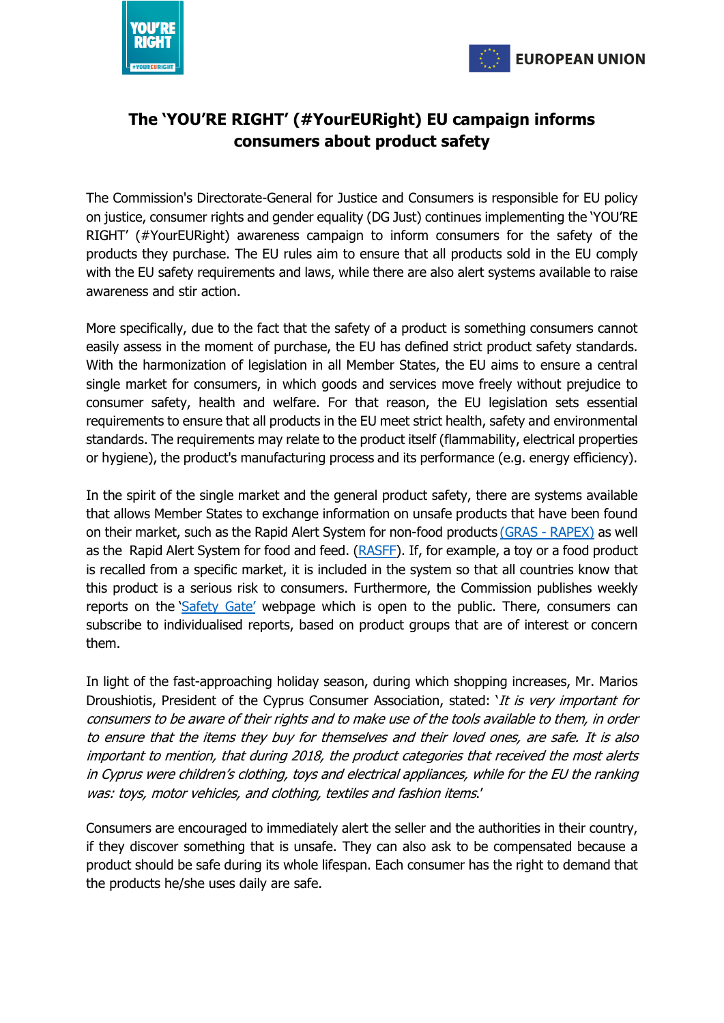



## **The 'YOU'RE RIGHT' (#YourEURight) EU campaign informs consumers about product safety**

The Commission's Directorate-General for Justice and Consumers is responsible for EU policy on justice, consumer rights and gender equality (DG Just) continues implementing the 'YOU'RE RIGHT' (#YourEURight) awareness campaign to inform consumers for the safety of the products they purchase. The EU rules aim to ensure that all products sold in the EU comply with the EU safety requirements and laws, while there are also alert systems available to raise awareness and stir action.

More specifically, due to the fact that the safety of a product is something consumers cannot easily assess in the moment of purchase, the EU has defined strict product safety standards. With the harmonization of legislation in all Member States, the EU aims to ensure a central single market for consumers, in which goods and services move freely without prejudice to consumer safety, health and welfare. For that reason, the EU legislation sets essential requirements to ensure that all products in the EU meet strict health, safety and environmental standards. The requirements may relate to the product itself (flammability, electrical properties or hygiene), the product's manufacturing process and its performance (e.g. energy efficiency).

In the spirit of the single market and the general product safety, there are systems available that allows Member States to exchange information on unsafe products that have been found on their market, such as the Rapid Alert System for non-food products (GRAS - [RAPEX\)](http://data.europa.eu/euodp/en/data/dataset/rapex-rapid-alert-system-non-food) as well as the Rapid Alert System for food and feed. [\(RASFF\)](https://ec.europa.eu/food/safety/rasff_en). If, for example, a toy or a food product is recalled from a specific market, it is included in the system so that all countries know that this product is a serious risk to consumers. Furthermore, the Commission publishes weekly reports on the '[Safety](https://ec.europa.eu/consumers/consumers_safety/safety_products/rapex/alerts/?event=main.listNotifications&lng=el) Gate' webpage which is open to the public. There, consumers can subscribe to individualised reports, based on product groups that are of interest or concern them.

In light of the fast-approaching holiday season, during which shopping increases, Mr. Marios Droushiotis, President of the Cyprus Consumer Association, stated: 'It is very important for consumers to be aware of their rights and to make use of the tools available to them, in order to ensure that the items they buy for themselves and their loved ones, are safe. It is also important to mention, that during 2018, the product categories that received the most alerts in Cyprus were children's clothing, toys and electrical appliances, while for the EU the ranking was: toys, motor vehicles, and clothing, textiles and fashion items.'

Consumers are encouraged to immediately alert the seller and the authorities in their country, if they discover something that is unsafe. They can also ask to be compensated because a product should be safe during its whole lifespan. Each consumer has the right to demand that the products he/she uses daily are safe.